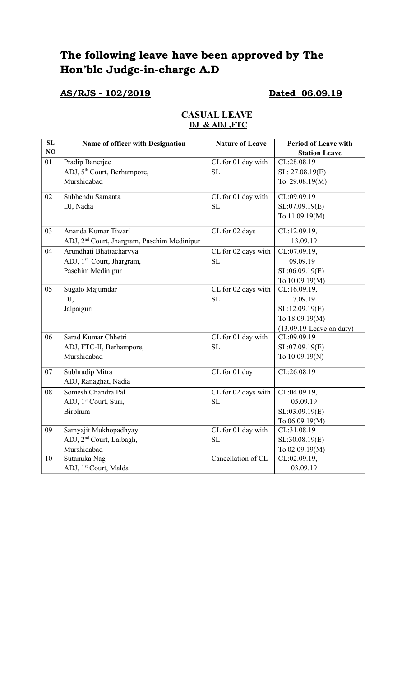# **The following leave have been approved by The**  Hon'ble Judge-in-charge A.D<sub>\_</sub>

## **AS/RJS 102/2019 Dated 06.09.19**

| SL | Name of officer with Designation                        | <b>Nature of Leave</b> | <b>Period of Leave with</b> |
|----|---------------------------------------------------------|------------------------|-----------------------------|
| NO |                                                         |                        | <b>Station Leave</b>        |
| 01 | Pradip Banerjee                                         | CL for 01 day with     | CL:28.08.19                 |
|    | ADJ, 5 <sup>th</sup> Court, Berhampore,                 | <b>SL</b>              | SL: 27.08.19(E)             |
|    | Murshidabad                                             |                        | To 29.08.19(M)              |
| 02 | Subhendu Samanta                                        | CL for 01 day with     | CL:09.09.19                 |
|    | DJ, Nadia                                               | <b>SL</b>              | SL:07.09.19(E)              |
|    |                                                         |                        | To 11.09.19(M)              |
| 03 | Ananda Kumar Tiwari                                     | CL for 02 days         | CL:12.09.19,                |
|    | ADJ, 2 <sup>nd</sup> Court, Jhargram, Paschim Medinipur |                        | 13.09.19                    |
| 04 | Arundhati Bhattacharyya                                 | CL for 02 days with    | CL:07.09.19,                |
|    | ADJ, 1 <sup>st</sup> Court, Jhargram,                   | <b>SL</b>              | 09.09.19                    |
|    | Paschim Medinipur                                       |                        | SL:06.09.19(E)              |
|    |                                                         |                        | To 10.09.19(M)              |
| 05 | Sugato Majumdar                                         | CL for 02 days with    | CL:16.09.19,                |
|    | DJ,                                                     | <b>SL</b>              | 17.09.19                    |
|    | Jalpaiguri                                              |                        | SL:12.09.19(E)              |
|    |                                                         |                        | To 18.09.19(M)              |
|    |                                                         |                        | $(13.09.19$ -Leave on duty) |
| 06 | Sarad Kumar Chhetri                                     | CL for 01 day with     | CL:09.09.19                 |
|    | ADJ, FTC-II, Berhampore,                                | <b>SL</b>              | SL:07.09.19(E)              |
|    | Murshidabad                                             |                        | To 10.09.19(N)              |
| 07 | Subhradip Mitra                                         | CL for 01 day          | CL:26.08.19                 |
|    | ADJ, Ranaghat, Nadia                                    |                        |                             |
| 08 | Somesh Chandra Pal                                      | CL for 02 days with    | CL:04.09.19,                |
|    | ADJ, 1 <sup>st</sup> Court, Suri,                       | <b>SL</b>              | 05.09.19                    |
|    | <b>Birbhum</b>                                          |                        | SL:03.09.19(E)              |
|    |                                                         |                        | To 06.09.19(M)              |
| 09 | Samyajit Mukhopadhyay                                   | CL for 01 day with     | CL:31.08.19                 |
|    | ADJ, 2 <sup>nd</sup> Court, Lalbagh,                    | SL                     | SL:30.08.19(E)              |
|    | Murshidabad                                             |                        | To 02.09.19(M)              |
| 10 | Sutanuka Nag                                            | Cancellation of CL     | CL:02.09.19,                |
|    | ADJ, 1st Court, Malda                                   |                        | 03.09.19                    |

#### **CASUAL LEAVE DJ & ADJ ,FTC**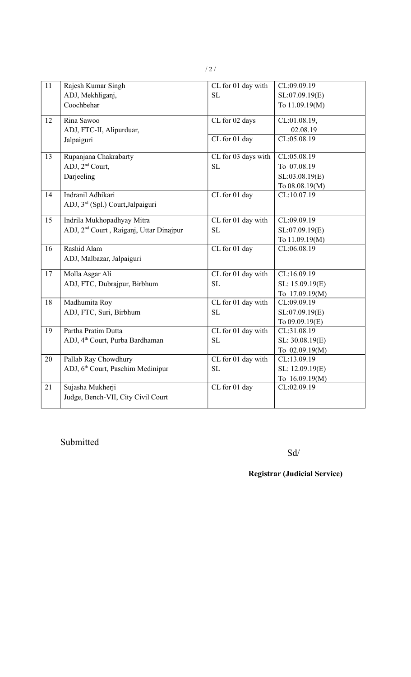| 11 | Rajesh Kumar Singh                                  | CL for 01 day with  | CL:09.09.19     |
|----|-----------------------------------------------------|---------------------|-----------------|
|    | ADJ, Mekhliganj,                                    | SL                  | SL:07.09.19(E)  |
|    |                                                     |                     |                 |
|    | Coochbehar                                          |                     | To 11.09.19(M)  |
| 12 | Rina Sawoo                                          | CL for 02 days      | CL:01.08.19,    |
|    | ADJ, FTC-II, Alipurduar,                            |                     | 02.08.19        |
|    | Jalpaiguri                                          | CL for 01 day       | CL:05.08.19     |
|    |                                                     |                     |                 |
| 13 | Rupanjana Chakrabarty                               | CL for 03 days with | CL:05.08.19     |
|    | ADJ, 2 <sup>nd</sup> Court,                         | SL                  | To 07.08.19     |
|    | Darjeeling                                          |                     | SL:03.08.19(E)  |
|    |                                                     |                     | To 08.08.19(M)  |
| 14 | Indranil Adhikari                                   | CL for 01 day       | CL:10.07.19     |
|    | ADJ, 3rd (Spl.) Court, Jalpaiguri                   |                     |                 |
|    |                                                     |                     |                 |
| 15 | Indrila Mukhopadhyay Mitra                          | CL for 01 day with  | CL:09.09.19     |
|    | ADJ, 2 <sup>nd</sup> Court, Raiganj, Uttar Dinajpur | <b>SL</b>           | SL:07.09.19(E)  |
|    |                                                     |                     | To 11.09.19(M)  |
| 16 | Rashid Alam                                         | CL for 01 day       | CL:06.08.19     |
|    | ADJ, Malbazar, Jalpaiguri                           |                     |                 |
| 17 | Molla Asgar Ali                                     | CL for 01 day with  | CL:16.09.19     |
|    | ADJ, FTC, Dubrajpur, Birbhum                        | SL                  | SL: 15.09.19(E) |
|    |                                                     |                     | To 17.09.19(M)  |
| 18 | Madhumita Roy                                       | CL for 01 day with  | CL:09.09.19     |
|    | ADJ, FTC, Suri, Birbhum                             | SL                  | SL:07.09.19(E)  |
|    |                                                     |                     | To 09.09.19(E)  |
| 19 | Partha Pratim Dutta                                 | CL for 01 day with  | CL:31.08.19     |
|    | ADJ, 4 <sup>th</sup> Court, Purba Bardhaman         | SL                  | SL: 30.08.19(E) |
|    |                                                     |                     | To 02.09.19(M)  |
| 20 | Pallab Ray Chowdhury                                | CL for 01 day with  | CL:13.09.19     |
|    | ADJ, 6 <sup>th</sup> Court, Paschim Medinipur       | SL                  | SL: 12.09.19(E) |
|    |                                                     |                     | To 16.09.19(M)  |
| 21 | Sujasha Mukherji                                    | $CL$ for 01 day     | CL:02.09.19     |
|    | Judge, Bench-VII, City Civil Court                  |                     |                 |
|    |                                                     |                     |                 |

Submitted

Sd/

## **Registrar (Judicial Service)**